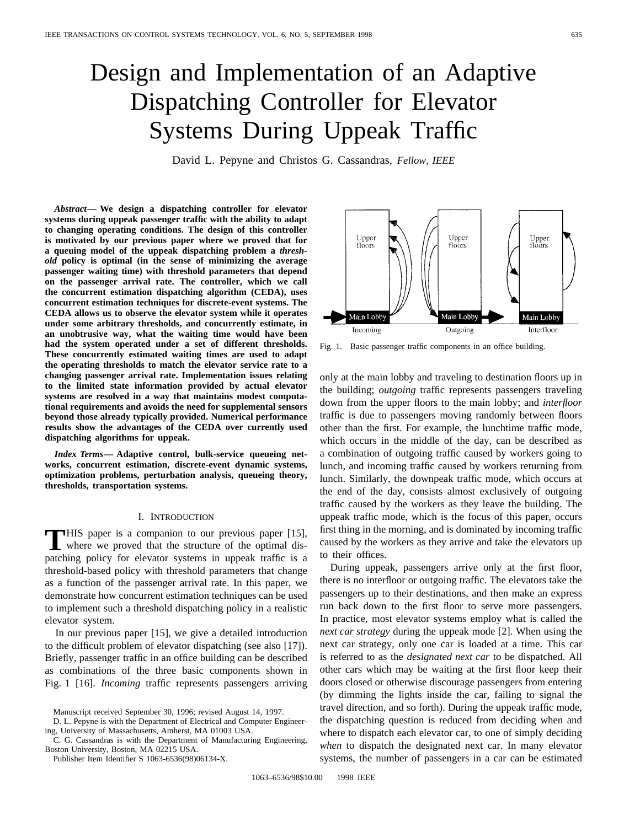# Design and Implementation of an Adaptive Dispatching Controller for Elevator Systems During Uppeak Traffic

David L. Pepyne and Christos G. Cassandras, *Fellow, IEEE*

*Abstract—* **We design a dispatching controller for elevator systems during uppeak passenger traffic with the ability to adapt to changing operating conditions. The design of this controller is motivated by our previous paper where we proved that for a queuing model of the uppeak dispatching problem a** *threshold* **policy is optimal (in the sense of minimizing the average passenger waiting time) with threshold parameters that depend on the passenger arrival rate. The controller, which we call the concurrent estimation dispatching algorithm (CEDA), uses concurrent estimation techniques for discrete-event systems. The CEDA allows us to observe the elevator system while it operates under some arbitrary thresholds, and concurrently estimate, in an unobtrusive way, what the waiting time would have been had the system operated under a set of different thresholds. These concurrently estimated waiting times are used to adapt the operating thresholds to match the elevator service rate to a changing passenger arrival rate. Implementation issues relating to the limited state information provided by actual elevator systems are resolved in a way that maintains modest computational requirements and avoids the need for supplemental sensors beyond those already typically provided. Numerical performance results show the advantages of the CEDA over currently used dispatching algorithms for uppeak.**

*Index Terms—* **Adaptive control, bulk-service queueing networks, concurrent estimation, discrete-event dynamic systems, optimization problems, perturbation analysis, queueing theory, thresholds, transportation systems.**

## I. INTRODUCTION

**T**HIS paper is a companion to our previous paper [15], where we proved that the structure of the optimal dispatching policy for elevator systems in uppeak traffic is a threshold-based policy with threshold parameters that change as a function of the passenger arrival rate. In this paper, we demonstrate how concurrent estimation techniques can be used to implement such a threshold dispatching policy in a realistic elevator system.

In our previous paper [15], we give a detailed introduction to the difficult problem of elevator dispatching (see also [17]). Briefly, passenger traffic in an office building can be described as combinations of the three basic components shown in Fig. 1 [16]. *Incoming* traffic represents passengers arriving



Fig. 1. Basic passenger traffic components in an office building.

only at the main lobby and traveling to destination floors up in the building; *outgoing* traffic represents passengers traveling down from the upper floors to the main lobby; and *interfloor* traffic is due to passengers moving randomly between floors other than the first. For example, the lunchtime traffic mode, which occurs in the middle of the day, can be described as a combination of outgoing traffic caused by workers going to lunch, and incoming traffic caused by workers returning from lunch. Similarly, the downpeak traffic mode, which occurs at the end of the day, consists almost exclusively of outgoing traffic caused by the workers as they leave the building. The uppeak traffic mode, which is the focus of this paper, occurs first thing in the morning, and is dominated by incoming traffic caused by the workers as they arrive and take the elevators up to their offices.

During uppeak, passengers arrive only at the first floor, there is no interfloor or outgoing traffic. The elevators take the passengers up to their destinations, and then make an express run back down to the first floor to serve more passengers. In practice, most elevator systems employ what is called the *next car strategy* during the uppeak mode [2]. When using the next car strategy, only one car is loaded at a time. This car is referred to as the *designated next car* to be dispatched. All other cars which may be waiting at the first floor keep their doors closed or otherwise discourage passengers from entering (by dimming the lights inside the car, failing to signal the travel direction, and so forth). During the uppeak traffic mode, the dispatching question is reduced from deciding when and where to dispatch each elevator car, to one of simply deciding *when* to dispatch the designated next car. In many elevator systems, the number of passengers in a car can be estimated

Manuscript received September 30, 1996; revised August 14, 1997.

D. L. Pepyne is with the Department of Electrical and Computer Engineer-

ing, University of Massachusetts, Amherst, MA 01003 USA.

C. G. Cassandras is with the Department of Manufacturing Engineering, Boston University, Boston, MA 02215 USA.

Publisher Item Identifier S 1063-6536(98)06134-X.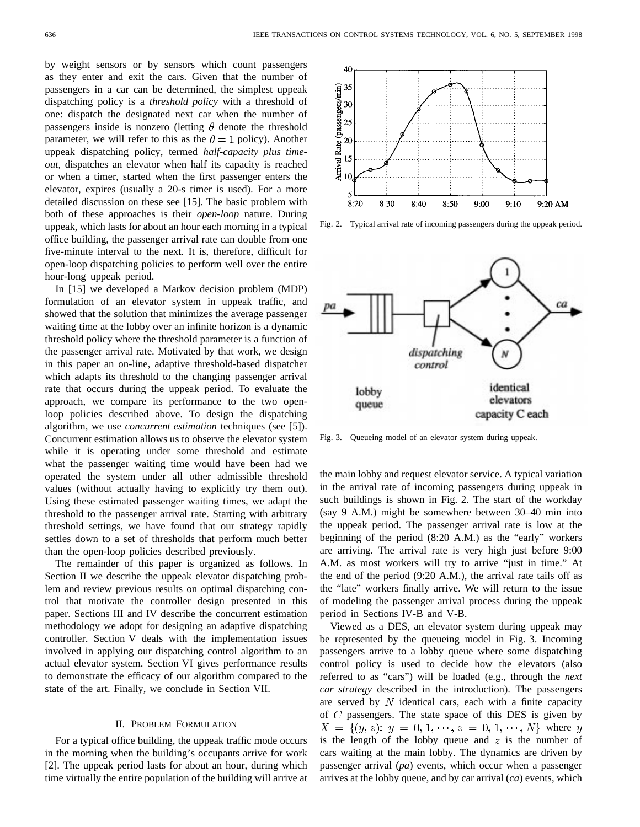by weight sensors or by sensors which count passengers as they enter and exit the cars. Given that the number of passengers in a car can be determined, the simplest uppeak dispatching policy is a *threshold policy* with a threshold of one: dispatch the designated next car when the number of passengers inside is nonzero (letting  $\theta$  denote the threshold parameter, we will refer to this as the  $\theta = 1$  policy). Another uppeak dispatching policy, termed *half-capacity plus timeout,* dispatches an elevator when half its capacity is reached or when a timer, started when the first passenger enters the elevator, expires (usually a 20-s timer is used). For a more detailed discussion on these see [15]. The basic problem with both of these approaches is their *open-loop* nature. During uppeak, which lasts for about an hour each morning in a typical office building, the passenger arrival rate can double from one five-minute interval to the next. It is, therefore, difficult for open-loop dispatching policies to perform well over the entire hour-long uppeak period.

In [15] we developed a Markov decision problem (MDP) formulation of an elevator system in uppeak traffic, and showed that the solution that minimizes the average passenger waiting time at the lobby over an infinite horizon is a dynamic threshold policy where the threshold parameter is a function of the passenger arrival rate. Motivated by that work, we design in this paper an on-line, adaptive threshold-based dispatcher which adapts its threshold to the changing passenger arrival rate that occurs during the uppeak period. To evaluate the approach, we compare its performance to the two openloop policies described above. To design the dispatching algorithm, we use *concurrent estimation* techniques (see [5]). Concurrent estimation allows us to observe the elevator system while it is operating under some threshold and estimate what the passenger waiting time would have been had we operated the system under all other admissible threshold values (without actually having to explicitly try them out). Using these estimated passenger waiting times, we adapt the threshold to the passenger arrival rate. Starting with arbitrary threshold settings, we have found that our strategy rapidly settles down to a set of thresholds that perform much better than the open-loop policies described previously.

The remainder of this paper is organized as follows. In Section II we describe the uppeak elevator dispatching problem and review previous results on optimal dispatching control that motivate the controller design presented in this paper. Sections III and IV describe the concurrent estimation methodology we adopt for designing an adaptive dispatching controller. Section V deals with the implementation issues involved in applying our dispatching control algorithm to an actual elevator system. Section VI gives performance results to demonstrate the efficacy of our algorithm compared to the state of the art. Finally, we conclude in Section VII.

# II. PROBLEM FORMULATION

For a typical office building, the uppeak traffic mode occurs in the morning when the building's occupants arrive for work [2]. The uppeak period lasts for about an hour, during which time virtually the entire population of the building will arrive at



Fig. 2. Typical arrival rate of incoming passengers during the uppeak period.



Fig. 3. Queueing model of an elevator system during uppeak.

the main lobby and request elevator service. A typical variation in the arrival rate of incoming passengers during uppeak in such buildings is shown in Fig. 2. The start of the workday (say 9 A.M.) might be somewhere between 30–40 min into the uppeak period. The passenger arrival rate is low at the beginning of the period (8:20 A.M.) as the "early" workers are arriving. The arrival rate is very high just before 9:00 A.M. as most workers will try to arrive "just in time." At the end of the period (9:20 A.M.), the arrival rate tails off as the "late" workers finally arrive. We will return to the issue of modeling the passenger arrival process during the uppeak period in Sections IV-B and V-B.

Viewed as a DES, an elevator system during uppeak may be represented by the queueing model in Fig. 3. Incoming passengers arrive to a lobby queue where some dispatching control policy is used to decide how the elevators (also referred to as "cars") will be loaded (e.g., through the *next car strategy* described in the introduction). The passengers are served by  $N$  identical cars, each with a finite capacity of  $C$  passengers. The state space of this DES is given by  $X = \{(y, z): y = 0, 1, \dots, z = 0, 1, \dots, N\}$  where y is the length of the lobby queue and  $z$  is the number of cars waiting at the main lobby. The dynamics are driven by passenger arrival (*pa*) events, which occur when a passenger arrives at the lobby queue, and by car arrival (*ca*) events, which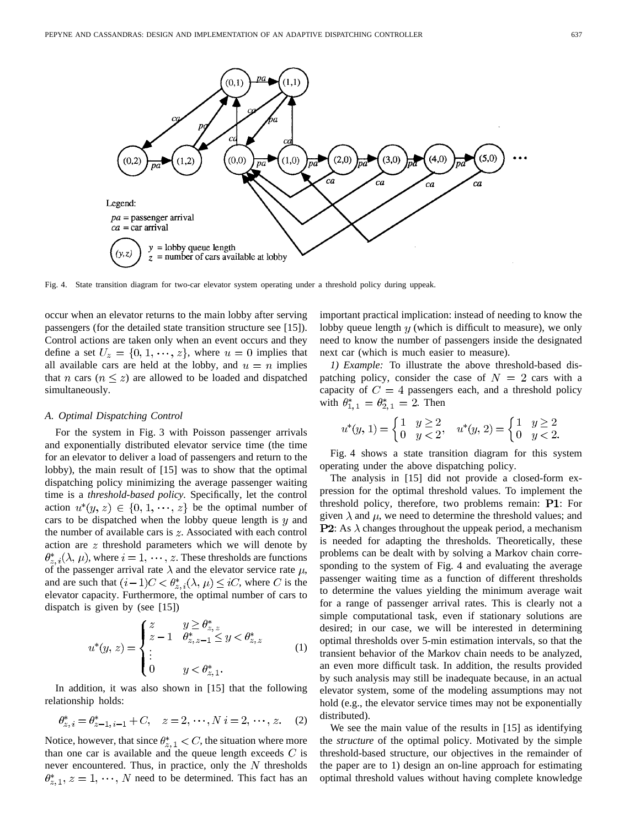

Fig. 4. State transition diagram for two-car elevator system operating under a threshold policy during uppeak.

occur when an elevator returns to the main lobby after serving passengers (for the detailed state transition structure see [15]). Control actions are taken only when an event occurs and they define a set  $U_z = \{0, 1, \dots, z\}$ , where  $u = 0$  implies that all available cars are held at the lobby, and  $u = n$  implies that *n* cars ( $n \leq z$ ) are allowed to be loaded and dispatched simultaneously.

## *A. Optimal Dispatching Control*

For the system in Fig. 3 with Poisson passenger arrivals and exponentially distributed elevator service time (the time for an elevator to deliver a load of passengers and return to the lobby), the main result of [15] was to show that the optimal dispatching policy minimizing the average passenger waiting time is a *threshold-based policy.* Specifically, let the control action  $u^*(y, z) \in \{0, 1, \dots, z\}$  be the optimal number of cars to be dispatched when the lobby queue length is  $y$  and the number of available cars is  $z$ . Associated with each control action are  $z$  threshold parameters which we will denote by  $\theta_{z,i}^*(\lambda, \mu)$ , where  $i = 1, \dots, z$ . These thresholds are functions of the passenger arrival rate  $\lambda$  and the elevator service rate  $\mu$ , and are such that  $(i-1)C < \theta_{z,i}^*(\lambda, \mu) \leq iC$ , where C is the elevator capacity. Furthermore, the optimal number of cars to dispatch is given by (see [15])

$$
u^*(y, z) = \begin{cases} z & y \ge \theta_{z, z}^* \\ z - 1 & \theta_{z, z-1}^* \le y < \theta_{z, z}^* \\ \vdots & \vdots \\ 0 & y < \theta_{z, 1}^* .\end{cases}
$$
 (1)

In addition, it was also shown in [15] that the following relationship holds:

$$
\theta_{z,i}^* = \theta_{z-1,i-1}^* + C, \quad z = 2, \cdots, N \quad i = 2, \cdots, z. \tag{2}
$$

Notice, however, that since  $\theta_{z,1}^* < C$ , the situation where more than one car is available and the queue length exceeds  $C$  is never encountered. Thus, in practice, only the  $N$  thresholds  $\theta_{z,1}^*$ ,  $z=1,\dots,N$  need to be determined. This fact has an important practical implication: instead of needing to know the lobby queue length  $y$  (which is difficult to measure), we only need to know the number of passengers inside the designated next car (which is much easier to measure).

*1) Example:* To illustrate the above threshold-based dispatching policy, consider the case of  $N = 2$  cars with a capacity of  $C = 4$  passengers each, and a threshold policy with  $\theta_{1,1}^* = \theta_{2,1}^* = 2$ . Then

$$
u^*(y, 1) = \begin{cases} 1 & y \ge 2 \\ 0 & y < 2 \end{cases}, \quad u^*(y, 2) = \begin{cases} 1 & y \ge 2 \\ 0 & y < 2 \end{cases}
$$

Fig. 4 shows a state transition diagram for this system operating under the above dispatching policy.

The analysis in [15] did not provide a closed-form expression for the optimal threshold values. To implement the threshold policy, therefore, two problems remain:  $P1$ : For given  $\lambda$  and  $\mu$ , we need to determine the threshold values; and **P2**: As  $\lambda$  changes throughout the uppeak period, a mechanism is needed for adapting the thresholds. Theoretically, these problems can be dealt with by solving a Markov chain corresponding to the system of Fig. 4 and evaluating the average passenger waiting time as a function of different thresholds to determine the values yielding the minimum average wait for a range of passenger arrival rates. This is clearly not a simple computational task, even if stationary solutions are desired; in our case, we will be interested in determining optimal thresholds over 5-min estimation intervals, so that the transient behavior of the Markov chain needs to be analyzed, an even more difficult task. In addition, the results provided by such analysis may still be inadequate because, in an actual elevator system, some of the modeling assumptions may not hold (e.g., the elevator service times may not be exponentially distributed).

We see the main value of the results in [15] as identifying the *structure* of the optimal policy. Motivated by the simple threshold-based structure, our objectives in the remainder of the paper are to 1) design an on-line approach for estimating optimal threshold values without having complete knowledge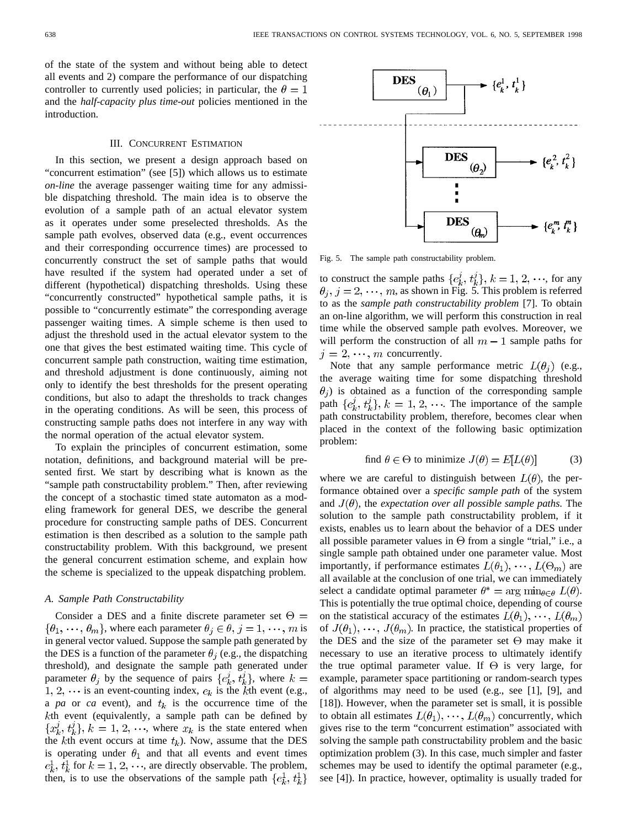of the state of the system and without being able to detect all events and 2) compare the performance of our dispatching controller to currently used policies; in particular, the  $\theta = 1$ and the *half-capacity plus time-out* policies mentioned in the introduction.

# III. CONCURRENT ESTIMATION

In this section, we present a design approach based on "concurrent estimation" (see [5]) which allows us to estimate *on-line* the average passenger waiting time for any admissible dispatching threshold. The main idea is to observe the evolution of a sample path of an actual elevator system as it operates under some preselected thresholds. As the sample path evolves, observed data (e.g., event occurrences and their corresponding occurrence times) are processed to concurrently construct the set of sample paths that would have resulted if the system had operated under a set of different (hypothetical) dispatching thresholds. Using these "concurrently constructed" hypothetical sample paths, it is possible to "concurrently estimate" the corresponding average passenger waiting times. A simple scheme is then used to adjust the threshold used in the actual elevator system to the one that gives the best estimated waiting time. This cycle of concurrent sample path construction, waiting time estimation, and threshold adjustment is done continuously, aiming not only to identify the best thresholds for the present operating conditions, but also to adapt the thresholds to track changes in the operating conditions. As will be seen, this process of constructing sample paths does not interfere in any way with the normal operation of the actual elevator system.

To explain the principles of concurrent estimation, some notation, definitions, and background material will be presented first. We start by describing what is known as the "sample path constructability problem." Then, after reviewing the concept of a stochastic timed state automaton as a modeling framework for general DES, we describe the general procedure for constructing sample paths of DES. Concurrent estimation is then described as a solution to the sample path constructability problem. With this background, we present the general concurrent estimation scheme, and explain how the scheme is specialized to the uppeak dispatching problem.

# *A. Sample Path Constructability*

Consider a DES and a finite discrete parameter set  $\Theta =$  $\{\theta_1, \dots, \theta_m\}$ , where each parameter  $\theta_j \in \theta$ ,  $j = 1, \dots, m$  is in general vector valued. Suppose the sample path generated by the DES is a function of the parameter  $\theta_i$  (e.g., the dispatching threshold), and designate the sample path generated under parameter  $\theta_j$  by the sequence of pairs  $\{e_k^j, t_k^j\}$ , where  $k =$  $1, 2, \cdots$  is an event-counting index,  $e_k$  is the kth event (e.g., a *pa* or *ca* event), and  $t_k$  is the occurrence time of the  $k$ th event (equivalently, a sample path can be defined by  $\{x_k^j, t_k^j\}, k = 1, 2, \dots$ , where  $x_k$  is the state entered when the kth event occurs at time  $t_k$ ). Now, assume that the DES is operating under  $\theta_1$  and that all events and event times  $e_k^1, t_k^1$  for  $k = 1, 2, \dots$ , are directly observable. The problem, then, is to use the observations of the sample path  $\{e_k^1, t_k^1\}$ 



Fig. 5. The sample path constructability problem.

to construct the sample paths  $\{e_k^j, t_k^j\}, k = 1, 2, \dots$ , for any  $\theta_i$ ,  $j = 2, \dots, m$ , as shown in Fig. 5. This problem is referred to as the *sample path constructability problem* [7]. To obtain an on-line algorithm, we will perform this construction in real time while the observed sample path evolves. Moreover, we will perform the construction of all  $m-1$  sample paths for  $j = 2, \dots, m$  concurrently.

Note that any sample performance metric  $L(\theta_i)$  (e.g., the average waiting time for some dispatching threshold  $\theta_j$ ) is obtained as a function of the corresponding sample path  $\{e_k^j, t_k^j\}, k = 1, 2, \cdots$ . The importance of the sample path constructability problem, therefore, becomes clear when placed in the context of the following basic optimization problem:

find 
$$
\theta \in \Theta
$$
 to minimize  $J(\theta) = E[L(\theta)]$  (3)

where we are careful to distinguish between  $L(\theta)$ , the performance obtained over a *specific sample path* of the system and  $J(\theta)$ , the *expectation over all possible sample paths*. The solution to the sample path constructability problem, if it exists, enables us to learn about the behavior of a DES under all possible parameter values in  $\Theta$  from a single "trial," i.e., a single sample path obtained under one parameter value. Most importantly, if performance estimates  $L(\theta_1), \cdots, L(\Theta_m)$  are all available at the conclusion of one trial, we can immediately select a candidate optimal parameter  $\theta^* = \arg \min_{\theta \in \theta} L(\theta)$ . This is potentially the true optimal choice, depending of course on the statistical accuracy of the estimates  $L(\theta_1), \cdots, L(\theta_m)$ of  $J(\theta_1), \dots, J(\theta_m)$ . In practice, the statistical properties of the DES and the size of the parameter set  $\Theta$  may make it necessary to use an iterative process to ultimately identify the true optimal parameter value. If  $\Theta$  is very large, for example, parameter space partitioning or random-search types of algorithms may need to be used (e.g., see [1], [9], and [18]). However, when the parameter set is small, it is possible to obtain all estimates  $L(\theta_1), \cdots, L(\theta_m)$  concurrently, which gives rise to the term "concurrent estimation" associated with solving the sample path constructability problem and the basic optimization problem (3). In this case, much simpler and faster schemes may be used to identify the optimal parameter (e.g., see [4]). In practice, however, optimality is usually traded for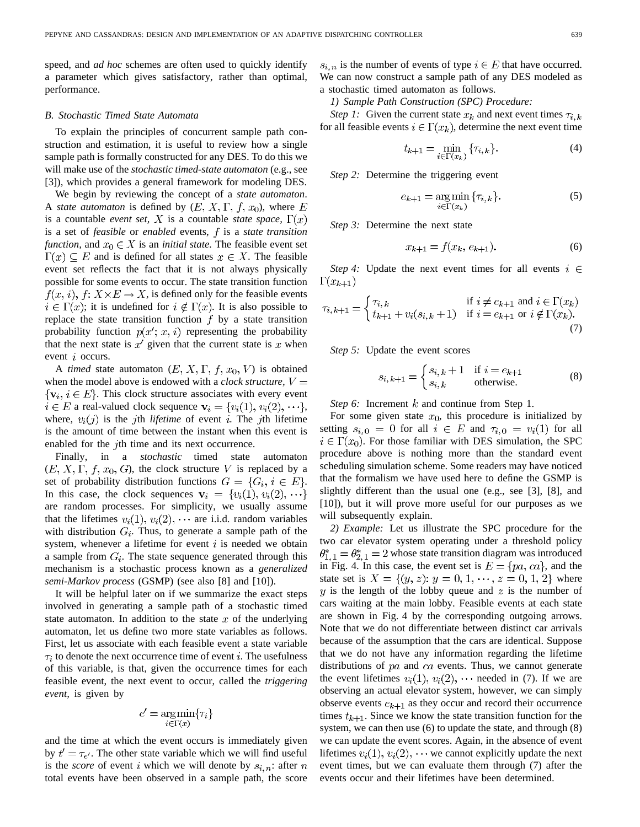speed, and *ad hoc* schemes are often used to quickly identify a parameter which gives satisfactory, rather than optimal, performance.

# *B. Stochastic Timed State Automata*

To explain the principles of concurrent sample path construction and estimation, it is useful to review how a single sample path is formally constructed for any DES. To do this we will make use of the *stochastic timed-state automaton* (e.g., see [3]), which provides a general framework for modeling DES.

We begin by reviewing the concept of a *state automaton*. A *state automaton* is defined by  $(E, X, \Gamma, f, x_0)$ , where E is a countable *event set,* X is a countable *state space*,  $\Gamma(x)$ is a set of *feasible* or *enabled* events, f is a *state transition function,* and  $x_0 \in X$  is an *initial state*. The feasible event set  $\Gamma(x) \subseteq E$  and is defined for all states  $x \in X$ . The feasible event set reflects the fact that it is not always physically possible for some events to occur. The state transition function  $f(x, i)$ ,  $f: X \times E \rightarrow X$ , is defined only for the feasible events  $i \in \Gamma(x)$ ; it is undefined for  $i \notin \Gamma(x)$ . It is also possible to replace the state transition function  $f$  by a state transition probability function  $p(x'; x, i)$  representing the probability that the next state is  $x'$  given that the current state is x when event  $i$  occurs.

A *timed* state automaton  $(E, X, \Gamma, f, x_0, V)$  is obtained when the model above is endowed with a *clock structure,*  $\{v_i, i \in E\}$ . This clock structure associates with every event  $i \in E$  a real-valued clock sequence  $\mathbf{v}_i = \{v_i(1), v_i(2), \dots\},\$ where,  $v_i(j)$  is the *j*th *lifetime* of event *i*. The *j*th lifetime is the amount of time between the instant when this event is enabled for the  $i$ th time and its next occurrence.

Finally, in a *stochastic* timed state automaton  $(E, X, \Gamma, f, x_0, G)$ , the clock structure V is replaced by a set of probability distribution functions  $G = \{G_i, i \in E\}.$ In this case, the clock sequences  $\mathbf{v}_i = \{v_i(1), v_i(2), \cdots\}$ are random processes. For simplicity, we usually assume that the lifetimes  $v_i(1), v_i(2), \cdots$  are i.i.d. random variables with distribution  $G_i$ . Thus, to generate a sample path of the system, whenever a lifetime for event  $i$  is needed we obtain a sample from  $G_i$ . The state sequence generated through this mechanism is a stochastic process known as a *generalized semi-Markov process* (GSMP) (see also [8] and [10]).

It will be helpful later on if we summarize the exact steps involved in generating a sample path of a stochastic timed state automaton. In addition to the state  $x$  of the underlying automaton, let us define two more state variables as follows. First, let us associate with each feasible event a state variable  $\tau_i$  to denote the next occurrence time of event i. The usefulness of this variable, is that, given the occurrence times for each feasible event, the next event to occur, called the *triggering event,* is given by

$$
e' = \argmin_{i \in \Gamma(x)} \{\tau_i\}
$$

and the time at which the event occurs is immediately given by  $t' = \tau_{e'}$ . The other state variable which we will find useful is the *score* of event i which we will denote by  $s_{i,n}$ : after n total events have been observed in a sample path, the score  $s_{i,n}$  is the number of events of type  $i \in E$  that have occurred. We can now construct a sample path of any DES modeled as a stochastic timed automaton as follows.

*1) Sample Path Construction (SPC) Procedure:*

*Step 1:* Given the current state  $x_k$  and next event times  $\tau_{i,k}$ for all feasible events  $i \in \Gamma(x_k)$ , determine the next event time

$$
t_{k+1} = \min_{i \in \Gamma(x_k)} \{\tau_{i,k}\}.
$$
 (4)

*Step 2:* Determine the triggering event

$$
e_{k+1} = \underset{i \in \Gamma(x_k)}{\arg \min} \{ \tau_{i,k} \}.
$$
 (5)

*Step 3:* Determine the next state

$$
x_{k+1} = f(x_k, e_{k+1}).
$$
 (6)

*Step 4:* Update the next event times for all events  $i \in$  $\Gamma(x_{k+1})$ 

$$
\tau_{i,k+1} = \begin{cases} \tau_{i,k} & \text{if } i \neq e_{k+1} \text{ and } i \in \Gamma(x_k) \\ t_{k+1} + v_i(s_{i,k}+1) & \text{if } i = e_{k+1} \text{ or } i \notin \Gamma(x_k). \end{cases} \tag{7}
$$

*Step 5:* Update the event scores

$$
s_{i,k+1} = \begin{cases} s_{i,k} + 1 & \text{if } i = e_{k+1} \\ s_{i,k} & \text{otherwise.} \end{cases}
$$
 (8)

*Step 6:* Increment  $k$  and continue from Step 1.

For some given state  $x_0$ , this procedure is initialized by setting  $s_{i,0} = 0$  for all  $i \in E$  and  $\tau_{i,0} = v_i(1)$  for all  $i \in \Gamma(x_0)$ . For those familiar with DES simulation, the SPC procedure above is nothing more than the standard event scheduling simulation scheme. Some readers may have noticed that the formalism we have used here to define the GSMP is slightly different than the usual one (e.g., see [3], [8], and [10]), but it will prove more useful for our purposes as we will subsequently explain.

*2) Example:* Let us illustrate the SPC procedure for the two car elevator system operating under a threshold policy  $\theta_{1,1}^* = \theta_{2,1}^* = 2$  whose state transition diagram was introduced in Fig. 4. In this case, the event set is  $E = \{pa, ca\}$ , and the state set is  $X = \{(y, z): y = 0, 1, \dots, z = 0, 1, 2\}$  where  $y$  is the length of the lobby queue and  $z$  is the number of cars waiting at the main lobby. Feasible events at each state are shown in Fig. 4 by the corresponding outgoing arrows. Note that we do not differentiate between distinct car arrivals because of the assumption that the cars are identical. Suppose that we do not have any information regarding the lifetime distributions of  $pa$  and  $ca$  events. Thus, we cannot generate the event lifetimes  $v_i(1), v_i(2), \cdots$  needed in (7). If we are observing an actual elevator system, however, we can simply observe events  $e_{k+1}$  as they occur and record their occurrence times  $t_{k+1}$ . Since we know the state transition function for the system, we can then use (6) to update the state, and through (8) we can update the event scores. Again, in the absence of event lifetimes  $v_i(1), v_i(2), \cdots$  we cannot explicitly update the next event times, but we can evaluate them through (7) after the events occur and their lifetimes have been determined.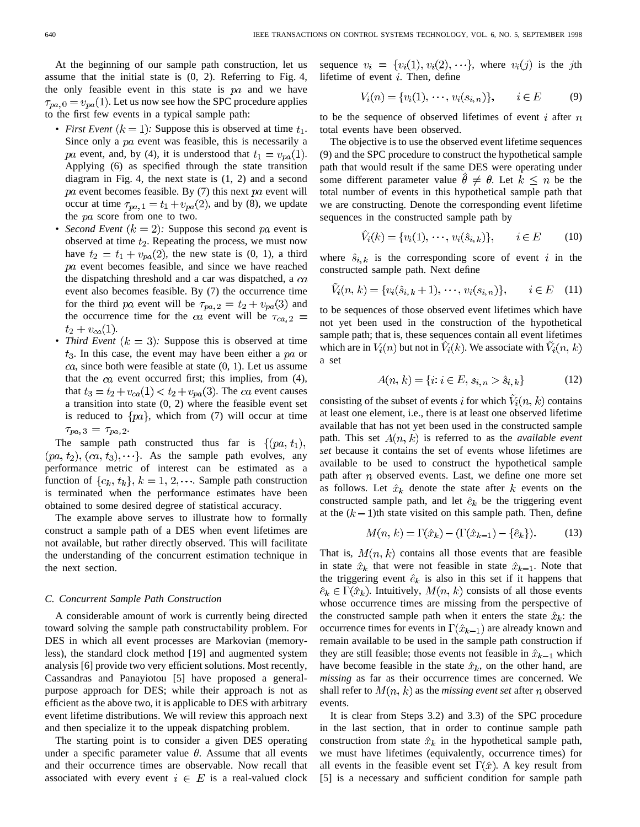At the beginning of our sample path construction, let us assume that the initial state is (0, 2). Referring to Fig. 4, the only feasible event in this state is  $pa$  and we have  $\tau_{pa,0} = v_{pa}(1)$ . Let us now see how the SPC procedure applies to the first few events in a typical sample path:

- *First Event*  $(k = 1)$ : Suppose this is observed at time  $t_1$ . Since only a  $pa$  event was feasible, this is necessarily a pa event, and, by (4), it is understood that  $t_1 = v_{pa}(1)$ . Applying (6) as specified through the state transition diagram in Fig. 4, the next state is (1, 2) and a second  $pa$  event becomes feasible. By (7) this next  $pa$  event will occur at time  $\tau_{pa,1} = t_1 + v_{pa}(2)$ , and by (8), we update the  $pa$  score from one to two.
- *Second Event*  $(k = 2)$ : Suppose this second pa event is observed at time  $t_2$ . Repeating the process, we must now have  $t_2 = t_1 + v_{pa}(2)$ , the new state is (0, 1), a third  $pa$  event becomes feasible, and since we have reached the dispatching threshold and a car was dispatched, a  $ca$ event also becomes feasible. By (7) the occurrence time for the third pa event will be  $\tau_{pa,2} = t_2 + v_{pa}(3)$  and the occurrence time for the ca event will be  $\tau_{ca,2}$  =  $t_2 + v_{ca}(1)$ .
- *Third Event*  $(k = 3)$ : Suppose this is observed at time  $t_3$ . In this case, the event may have been either a  $pa$  or  $ca$ , since both were feasible at state  $(0, 1)$ . Let us assume that the  $ca$  event occurred first; this implies, from  $(4)$ , that  $t_3 = t_2 + v_{ca}(1) < t_2 + v_{pa}(3)$ . The ca event causes a transition into state  $(0, 2)$  where the feasible event set is reduced to  $\{pa\}$ , which from (7) will occur at time  $\tau_{pa,3} = \tau_{pa,2}.$

The sample path constructed thus far is  $\{(pa, t_1),\}$  $(pa, t_2), (ca, t_3), \cdots$ . As the sample path evolves, any performance metric of interest can be estimated as a function of  $\{e_k, t_k\}, k = 1, 2, \cdots$ . Sample path construction is terminated when the performance estimates have been obtained to some desired degree of statistical accuracy.

The example above serves to illustrate how to formally construct a sample path of a DES when event lifetimes are not available, but rather directly observed. This will facilitate the understanding of the concurrent estimation technique in the next section.

#### *C. Concurrent Sample Path Construction*

A considerable amount of work is currently being directed toward solving the sample path constructability problem. For DES in which all event processes are Markovian (memoryless), the standard clock method [19] and augmented system analysis [6] provide two very efficient solutions. Most recently, Cassandras and Panayiotou [5] have proposed a generalpurpose approach for DES; while their approach is not as efficient as the above two, it is applicable to DES with arbitrary event lifetime distributions. We will review this approach next and then specialize it to the uppeak dispatching problem.

The starting point is to consider a given DES operating under a specific parameter value  $\theta$ . Assume that all events and their occurrence times are observable. Now recall that associated with every event  $i \in E$  is a real-valued clock sequence  $v_i = \{v_i(1), v_i(2), \cdots\}$ , where  $v_i(j)$  is the jth lifetime of event  $i$ . Then, define

$$
V_i(n) = \{v_i(1), \dots, v_i(s_{i,n})\}, \qquad i \in E \tag{9}
$$

to be the sequence of observed lifetimes of event i after  $n$ total events have been observed.

The objective is to use the observed event lifetime sequences (9) and the SPC procedure to construct the hypothetical sample path that would result if the same DES were operating under some different parameter value  $\hat{\theta} \neq \theta$ . Let  $k \leq n$  be the total number of events in this hypothetical sample path that we are constructing. Denote the corresponding event lifetime sequences in the constructed sample path by

$$
\hat{V}_i(k) = \{v_i(1), \dots, v_i(\hat{s}_{i,k})\}, \qquad i \in E \tag{10}
$$

where  $\hat{s}_{i,k}$  is the corresponding score of event i in the constructed sample path. Next define

$$
\tilde{V}_i(n,k) = \{v_i(\hat{s}_{i,k} + 1), \cdots, v_i(s_{i,n})\}, \qquad i \in E \quad (11)
$$

to be sequences of those observed event lifetimes which have not yet been used in the construction of the hypothetical sample path; that is, these sequences contain all event lifetimes which are in  $V_i(n)$  but not in  $\hat{V}_i(k)$ . We associate with  $\hat{V}_i(n, k)$ a set

$$
A(n, k) = \{i : i \in E, s_{i, n} > \hat{s}_{i, k}\}\tag{12}
$$

consisting of the subset of events i for which  $\tilde{V}_i(n, k)$  contains at least one element, i.e., there is at least one observed lifetime available that has not yet been used in the constructed sample path. This set  $A(n, k)$  is referred to as the *available event set* because it contains the set of events whose lifetimes are available to be used to construct the hypothetical sample path after  $n$  observed events. Last, we define one more set as follows. Let  $\hat{x}_k$  denote the state after k events on the constructed sample path, and let  $\hat{e}_k$  be the triggering event at the  $(k - 1)$ th state visited on this sample path. Then, define

$$
M(n, k) = \Gamma(\hat{x}_k) - (\Gamma(\hat{x}_{k-1}) - {\hat{e}_k}).
$$
 (13)

That is,  $M(n, k)$  contains all those events that are feasible in state  $\hat{x}_k$  that were not feasible in state  $\hat{x}_{k-1}$ . Note that the triggering event  $\hat{e}_k$  is also in this set if it happens that  $\hat{e}_k \in \Gamma(\hat{x}_k)$ . Intuitively,  $M(n, k)$  consists of all those events whose occurrence times are missing from the perspective of the constructed sample path when it enters the state  $\hat{x}_k$ : the occurrence times for events in  $\Gamma(\hat{x}_{k-1})$  are already known and remain available to be used in the sample path construction if they are still feasible; those events not feasible in  $\hat{x}_{k-1}$  which have become feasible in the state  $\hat{x}_k$ , on the other hand, are *missing* as far as their occurrence times are concerned. We shall refer to  $M(n, k)$  as the *missing event set* after *n* observed events.

It is clear from Steps 3.2) and 3.3) of the SPC procedure in the last section, that in order to continue sample path construction from state  $\hat{x}_k$  in the hypothetical sample path, we must have lifetimes (equivalently, occurrence times) for all events in the feasible event set  $\Gamma(\hat{x})$ . A key result from [5] is a necessary and sufficient condition for sample path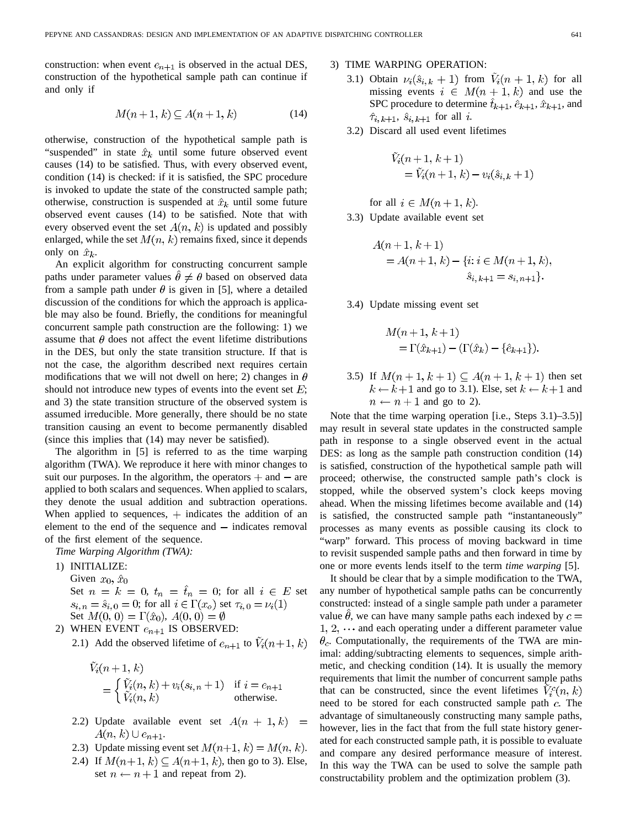construction: when event  $e_{n+1}$  is observed in the actual DES, construction of the hypothetical sample path can continue if and only if

$$
M(n+1, k) \subseteq A(n+1, k) \tag{14}
$$

otherwise, construction of the hypothetical sample path is "suspended" in state  $\hat{x}_k$  until some future observed event causes (14) to be satisfied. Thus, with every observed event, condition (14) is checked: if it is satisfied, the SPC procedure is invoked to update the state of the constructed sample path; otherwise, construction is suspended at  $\hat{x}_k$  until some future observed event causes (14) to be satisfied. Note that with every observed event the set  $A(n, k)$  is updated and possibly enlarged, while the set  $M(n, k)$  remains fixed, since it depends only on  $\hat{x}_k$ .

An explicit algorithm for constructing concurrent sample paths under parameter values  $\hat{\theta} \neq \theta$  based on observed data from a sample path under  $\theta$  is given in [5], where a detailed discussion of the conditions for which the approach is applicable may also be found. Briefly, the conditions for meaningful concurrent sample path construction are the following: 1) we assume that  $\theta$  does not affect the event lifetime distributions in the DES, but only the state transition structure. If that is not the case, the algorithm described next requires certain modifications that we will not dwell on here; 2) changes in  $\theta$ should not introduce new types of events into the event set  $E$ ; and 3) the state transition structure of the observed system is assumed irreducible. More generally, there should be no state transition causing an event to become permanently disabled (since this implies that (14) may never be satisfied).

The algorithm in [5] is referred to as the time warping algorithm (TWA). We reproduce it here with minor changes to suit our purposes. In the algorithm, the operators  $+$  and  $-$  are applied to both scalars and sequences. When applied to scalars, they denote the usual addition and subtraction operations. When applied to sequences,  $+$  indicates the addition of an element to the end of the sequence and  $-$  indicates removal of the first element of the sequence.

*Time Warping Algorithm (TWA):*

1) INITIALIZE:

Given  $x_0$ ,  $\hat{x}_0$ Set  $n = k = 0$ ,  $t_n = \hat{t}_n = 0$ ; for all  $i \in E$  set  $s_{i,n} = \hat{s}_{i,0} = 0$ ; for all  $i \in \Gamma(x_0)$  set  $\tau_{i,0} = \nu_i(1)$ Set  $M(0, 0) = \Gamma(\hat{x}_0)$ ,  $A(0, 0) = \emptyset$ 

2) WHEN EVENT  $e_{n+1}$  IS OBSERVED:

2.1) Add the observed lifetime of  $e_{n+1}$  to  $\tilde{V}_i(n+1, k)$ 

$$
V_i(n+1, k)
$$
  
= 
$$
\begin{cases} \tilde{V}_i(n, k) + v_i(s_{i, n} + 1) & \text{if } i = e_{n+1} \\ \tilde{V}_i(n, k) & \text{otherwise.} \end{cases}
$$

- 2.2) Update available event set  $A(n + 1, k) =$  $A(n, k) \cup e_{n+1}.$
- 2.3) Update missing event set  $M(n+1, k) = M(n, k)$ .
- 2.4) If  $M(n+1, k) \subseteq A(n+1, k)$ , then go to 3). Else, set  $n \leftarrow n + 1$  and repeat from 2).
- 3) TIME WARPING OPERATION:
	- 3.1) Obtain  $\nu_i(\hat{s}_{i,k} + 1)$  from  $\tilde{V}_i(n+1, k)$  for all missing events  $i \in M(n+1, k)$  and use the SPC procedure to determine  $\hat{t}_{k+1}, \hat{c}_{k+1}, \hat{x}_{k+1}$  , and  $\hat{\tau}_{i,k+1}, \hat{s}_{i,k+1}$  for all i.
	- 3.2) Discard all used event lifetimes

$$
\tilde{V}_i(n+1, k+1) = \tilde{V}_i(n+1, k) - v_i(\hat{s}_{i,k} + 1)
$$

for all  $i \in M(n+1, k)$ .

3.3) Update available event set

$$
A(n+1, k+1)
$$
  
=  $A(n+1, k) - \{i : i \in M(n+1, k),$   
 $\hat{s}_{i, k+1} = s_{i, n+1}\}.$ 

3.4) Update missing event set

$$
M(n+1, k+1) = \Gamma(\hat{x}_{k+1}) - (\Gamma(\hat{x}_k) - {\hat{e}_{k+1}}).
$$

3.5) If  $M(n+1, k+1) \subseteq A(n+1, k+1)$  then set  $k \leftarrow k+1$  and go to 3.1). Else, set  $k \leftarrow k+1$  and  $n \leftarrow n + 1$  and go to 2).

Note that the time warping operation [i.e., Steps 3.1)–3.5)] may result in several state updates in the constructed sample path in response to a single observed event in the actual DES: as long as the sample path construction condition (14) is satisfied, construction of the hypothetical sample path will proceed; otherwise, the constructed sample path's clock is stopped, while the observed system's clock keeps moving ahead. When the missing lifetimes become available and (14) is satisfied, the constructed sample path "instantaneously" processes as many events as possible causing its clock to "warp" forward. This process of moving backward in time to revisit suspended sample paths and then forward in time by one or more events lends itself to the term *time warping* [5].

It should be clear that by a simple modification to the TWA, any number of hypothetical sample paths can be concurrently constructed: instead of a single sample path under a parameter value  $\hat{\theta}$ , we can have many sample paths each indexed by  $c =$  $1, 2, \cdots$  and each operating under a different parameter value  $\theta_c$ . Computationally, the requirements of the TWA are minimal: adding/subtracting elements to sequences, simple arithmetic, and checking condition (14). It is usually the memory requirements that limit the number of concurrent sample paths that can be constructed, since the event lifetimes  $\tilde{V}_i^c(n, k)$ need to be stored for each constructed sample path  $c$ . The advantage of simultaneously constructing many sample paths, however, lies in the fact that from the full state history generated for each constructed sample path, it is possible to evaluate and compare any desired performance measure of interest. In this way the TWA can be used to solve the sample path constructability problem and the optimization problem (3).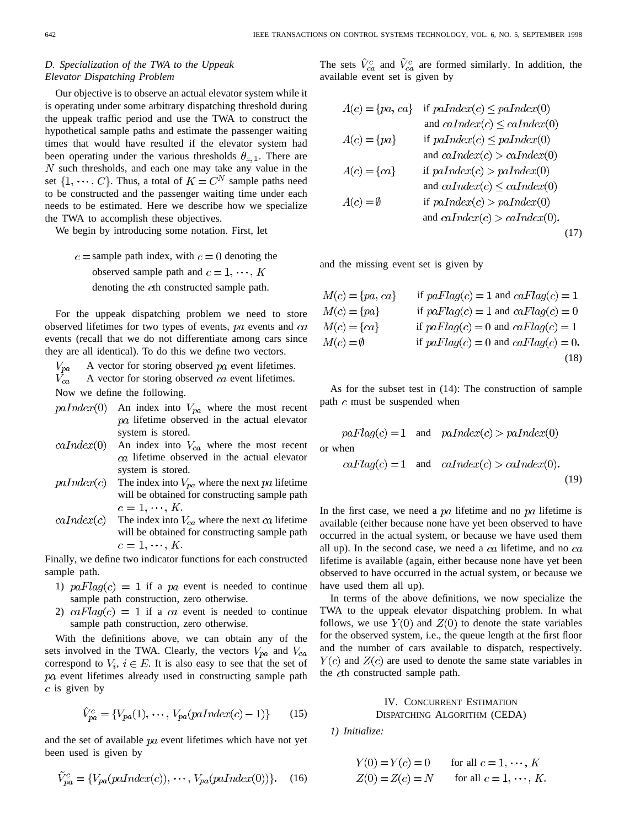# *D. Specialization of the TWA to the Uppeak Elevator Dispatching Problem*

Our objective is to observe an actual elevator system while it is operating under some arbitrary dispatching threshold during the uppeak traffic period and use the TWA to construct the hypothetical sample paths and estimate the passenger waiting times that would have resulted if the elevator system had been operating under the various thresholds  $\theta_{z,1}$ . There are  $N$  such thresholds, and each one may take any value in the set  $\{1, \dots, C\}$ . Thus, a total of  $K = C^N$  sample paths need to be constructed and the passenger waiting time under each needs to be estimated. Here we describe how we specialize the TWA to accomplish these objectives.

We begin by introducing some notation. First, let

$$
c
$$
 = sample path index, with  $c$  = 0 denoting the observed sample path and  $c$  = 1,  $\dots$ ,  $K$  denoting the  $c$ th constructed sample path.

For the uppeak dispatching problem we need to store observed lifetimes for two types of events,  $pa$  events and  $ca$ events (recall that we do not differentiate among cars since they are all identical). To do this we define two vectors.

 $V_{pa}$ A vector for storing observed  $pa$  event lifetimes.  $V_{ca}$ A vector for storing observed  $ca$  event lifetimes.

- Now we define the following.
- $p a Index(0)$  An index into  $V_{pa}$  where the most recent  $pa$  lifetime observed in the actual elevator system is stored.
- An index into  $V_{ca}$  where the most recent  $calIndex(0)$  $ca$  lifetime observed in the actual elevator system is stored.
- The index into  $V_{pa}$  where the next pa lifetime  $p a Index(c)$ will be obtained for constructing sample path  $c=1,\cdots,K.$
- The index into  $V_{ca}$  where the next califetime  $c\alpha Index(c)$ will be obtained for constructing sample path  $c=1,\cdots,K.$

Finally, we define two indicator functions for each constructed sample path.

- 1)  $paFlag(c) = 1$  if a pa event is needed to continue sample path construction, zero otherwise.
- 2)  $caFlag(c) = 1$  if a ca event is needed to continue sample path construction, zero otherwise.

With the definitions above, we can obtain any of the sets involved in the TWA. Clearly, the vectors  $V_{pa}$  and  $V_{ca}$ correspond to  $V_i$ ,  $i \in E$ . It is also easy to see that the set of  $pa$  event lifetimes already used in constructing sample path  $c$  is given by

$$
\hat{V}_{pa}^{c} = \{V_{pa}(1), \cdots, V_{pa}(palndex(c) - 1)\}\
$$
 (15)

and the set of available  $pa$  event lifetimes which have not yet been used is given by

$$
\tilde{V}_{pa}^{c} = \{V_{pa}(palndex(c)), \cdots, V_{pa}(palndex(0))\}.
$$
 (16)

The sets  $\hat{V}_{ca}^{c}$  and  $\tilde{V}_{ca}^{c}$  are formed similarly. In addition, the available event set is given by

$$
A(c) = \{pa, ca\} \quad \text{if } palndex(c) \leq palndex(0)
$$
  
\nand  $calndex(c) \leq calndex(0)$   
\n
$$
A(c) = \{pa\} \quad \text{if } palndex(c) \leq palndex(0)
$$
  
\nand  $calndex(c) > \text{calndex}(0)$   
\n
$$
A(c) = \{ca\} \quad \text{if } palndex(c) > palndex(0)
$$
  
\nand  $calndex(c) \leq calndex(0)$   
\n
$$
A(c) = \emptyset \quad \text{if } palndex(c) > palndex(0)
$$
  
\nand  $caladex(c) > \text{calndex}(0)$ .  
\n(17)

and the missing event set is given by

$$
M(c) = \{pa, ca\} \qquad \text{if } paFlag(c) = 1 \text{ and } caFlag(c) = 1
$$
  
\n
$$
M(c) = \{pa\} \qquad \text{if } paFlag(c) = 1 \text{ and } caFlag(c) = 0
$$
  
\n
$$
M(c) = \{ca\} \qquad \text{if } paFlag(c) = 0 \text{ and } caFlag(c) = 1
$$
  
\n
$$
M(c) = \emptyset \qquad \text{if } paFlag(c) = 0 \text{ and } caFlag(c) = 0.
$$
  
\n(18)

As for the subset test in (14): The construction of sample path  $c$  must be suspended when

$$
paFlag(c) = 1 \quad \text{and} \quad paIndex(c) > paIndex(0)
$$
  
when

$$
caFlag(c) = 1 \quad \text{and} \quad caIndex(c) > caIndex(0). \tag{19}
$$

In the first case, we need a  $pa$  lifetime and no  $pa$  lifetime is available (either because none have yet been observed to have occurred in the actual system, or because we have used them all up). In the second case, we need a  $ca$  lifetime, and no  $ca$ lifetime is available (again, either because none have yet been observed to have occurred in the actual system, or because we have used them all up).

In terms of the above definitions, we now specialize the TWA to the uppeak elevator dispatching problem. In what follows, we use  $Y(0)$  and  $Z(0)$  to denote the state variables for the observed system, i.e., the queue length at the first floor and the number of cars available to dispatch, respectively.  $Y(c)$  and  $Z(c)$  are used to denote the same state variables in the cth constructed sample path.

# IV. CONCURRENT ESTIMATION DISPATCHING ALGORITHM (CEDA)

*1) Initialize:*

or

$$
Y(0) = Y(c) = 0 \qquad \text{for all } c = 1, \dots, K
$$
  
 
$$
Z(0) = Z(c) = N \qquad \text{for all } c = 1, \dots, K.
$$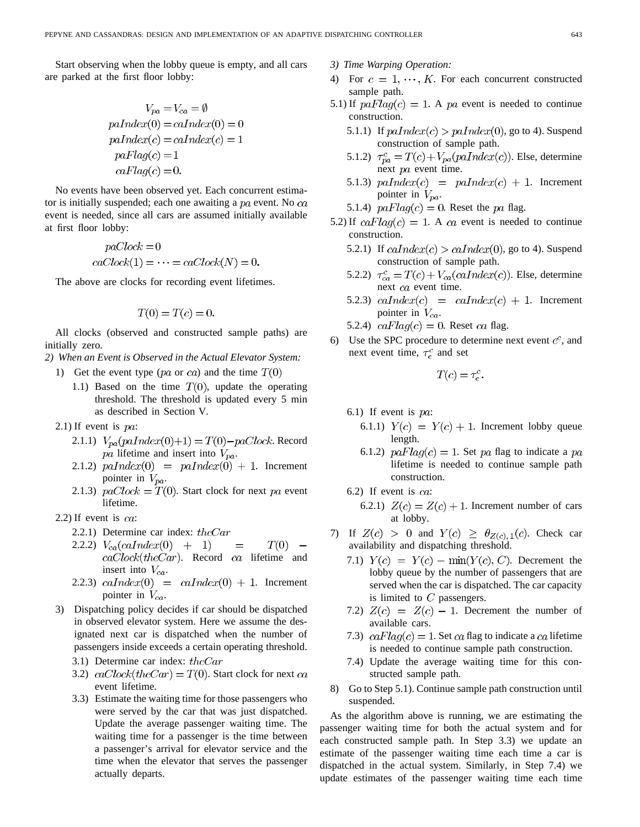Start observing when the lobby queue is empty, and all cars are parked at the first floor lobby:

$$
V_{pa} = V_{ca} = \emptyset
$$
  
palnder(0) = calnder(0) = 0  
palnder(c) = calnder(c) = 1  
paFlag(c) = 1  
caFlag(c) = 0.

No events have been observed yet. Each concurrent estimator is initially suspended; each one awaiting a  $pa$  event. No  $ca$ event is needed, since all cars are assumed initially available at first floor lobby:

$$
paClock = 0
$$
  

$$
caClock(1) = \dots = caClock(N) = 0
$$

The above are clocks for recording event lifetimes.

$$
T(0) = T(c) = 0.
$$

All clocks (observed and constructed sample paths) are initially zero.

- *2) When an Event is Observed in the Actual Elevator System:*
	- 1) Get the event type  $(pa \text{ or } ca)$  and the time  $T(0)$ 
		- 1.1) Based on the time  $T(0)$ , update the operating threshold. The threshold is updated every 5 min as described in Section V.
	- 2.1) If event is  $pa$ :
		- 2.1.1)  $V_{pa}(palndex(0)+1) = T(0) paClock$ . Record pa lifetime and insert into  $V_{pa}$ .
		- 2.1.2)  $p\alpha Index(0) = p\alpha Index(0) + 1$ . Increment pointer in  $V_{pa}$ .
		- 2.1.3)  $paClock = T(0)$ . Start clock for next pa event lifetime.

 $(2.2)$  If event is  $ca$ :

- 2.2.1) Determine car index: the Car
- 2.2.2)  $V_{ca}(caIndex(0) + 1)$  $T(0)$  –  $\qquad \qquad =$  $caClock(theCar)$ . Record ca lifetime and insert into  $V_{ca}$ .
- 2.2.3)  $calIndex(0) = calnder(0) + 1$ . Increment pointer in  $V_{ca}$ .
- 3) Dispatching policy decides if car should be dispatched in observed elevator system. Here we assume the designated next car is dispatched when the number of passengers inside exceeds a certain operating threshold.
	- 3.1) Determine car index: the Car
	- 3.2)  $\operatorname{caClock}(theCar) = T(0)$ . Start clock for next ca event lifetime.
	- 3.3) Estimate the waiting time for those passengers who were served by the car that was just dispatched. Update the average passenger waiting time. The waiting time for a passenger is the time between a passenger's arrival for elevator service and the time when the elevator that serves the passenger actually departs.
- *3) Time Warping Operation:*
- 4) For  $c = 1, \dots, K$ . For each concurrent constructed sample path.
- 5.1) If  $paFlag(c) = 1$ . A pa event is needed to continue construction.
	- 5.1.1) If  $p a Index(c) > p aIndex(0)$ , go to 4). Suspend construction of sample path.
	- 5.1.2)  $\tau_{pa}^c = T(c) + V_{pa}(palndex(c))$ . Else, determine next pa event time.
	- 5.1.3)  $p\alpha Index(c) = p\alpha Index(c) + 1$ . Increment pointer in  $V_{pa}$ .
	- 5.1.4)  $\text{paFlag}(c) = 0$ . Reset the pa flag.
- 5.2) If  $caFlag(c) = 1$ . A ca event is needed to continue construction.
	- 5.2.1) If  $calnder(c) > calnder(0)$ , go to 4). Suspend construction of sample path.
	- 5.2.2)  $\tau_{ca}^c = T(c) + V_{ca}(caIndex(c))$ . Else, determine next ca event time.
	- 5.2.3)  $\text{c}a \text{Index}(c) = \text{c}a \text{Index}(c) + 1$ . Increment pointer in  $V_{ca}$ .
	- 5.2.4)  $\alpha Flag(c) = 0$ . Reset  $ca$  flag.
- 6) Use the SPC procedure to determine next event  $e^c$ , and next event time,  $\tau_e^c$  and set

$$
T(c)=\tau_e^c.
$$

- 6.1) If event is  $pa$ :
	- 6.1.1)  $Y(c) = Y(c) + 1$ . Increment lobby queue length.
	- 6.1.2)  $paFlag(c) = 1$ . Set pa flag to indicate a pa lifetime is needed to continue sample path construction.
- 6.2) If event is  $ca$ :
	- 6.2.1)  $Z(c) = Z(c) + 1$ . Increment number of cars at lobby.
- 7) If  $Z(c) > 0$  and  $Y(c) \ge \theta_{Z(c),1}(c)$ . Check car availability and dispatching threshold.
	- 7.1)  $Y(c) = Y(c) \min(Y(c), C)$ . Decrement the lobby queue by the number of passengers that are served when the car is dispatched. The car capacity is limited to  $C$  passengers.
	- 7.2)  $Z(c) = Z(c) 1$ . Decrement the number of available cars.
	- 7.3)  $caFlag(c) = 1$ . Set ca flag to indicate a ca lifetime is needed to continue sample path construction.
	- 7.4) Update the average waiting time for this constructed sample path.
- 8) Go to Step 5.1). Continue sample path construction until suspended.

As the algorithm above is running, we are estimating the passenger waiting time for both the actual system and for each constructed sample path. In Step 3.3) we update an estimate of the passenger waiting time each time a car is dispatched in the actual system. Similarly, in Step 7.4) we update estimates of the passenger waiting time each time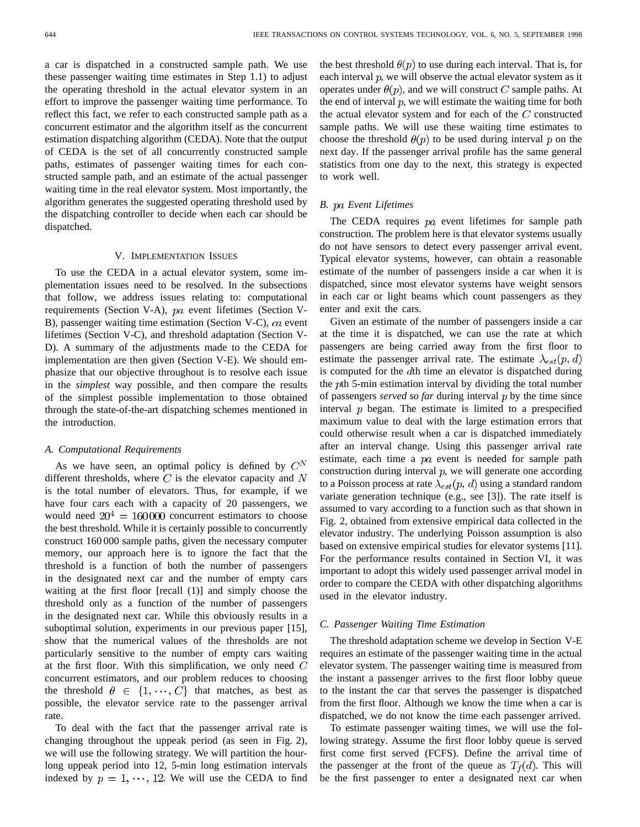a car is dispatched in a constructed sample path. We use these passenger waiting time estimates in Step 1.1) to adjust the operating threshold in the actual elevator system in an effort to improve the passenger waiting time performance. To reflect this fact, we refer to each constructed sample path as a concurrent estimator and the algorithm itself as the concurrent estimation dispatching algorithm (CEDA). Note that the output of CEDA is the set of all concurrently constructed sample paths, estimates of passenger waiting times for each constructed sample path, and an estimate of the actual passenger waiting time in the real elevator system. Most importantly, the algorithm generates the suggested operating threshold used by the dispatching controller to decide when each car should be dispatched.

#### V. IMPLEMENTATION ISSUES

To use the CEDA in a actual elevator system, some implementation issues need to be resolved. In the subsections that follow, we address issues relating to: computational requirements (Section V-A),  $pa$  event lifetimes (Section V-B), passenger waiting time estimation (Section V-C),  $ca$  event lifetimes (Section V-C), and threshold adaptation (Section V-D). A summary of the adjustments made to the CEDA for implementation are then given (Section V-E). We should emphasize that our objective throughout is to resolve each issue in the *simplest* way possible, and then compare the results of the simplest possible implementation to those obtained through the state-of-the-art dispatching schemes mentioned in the introduction.

## *A. Computational Requirements*

As we have seen, an optimal policy is defined by  $C^N$ different thresholds, where  $C$  is the elevator capacity and  $N$ is the total number of elevators. Thus, for example, if we have four cars each with a capacity of 20 passengers, we would need  $20^4 = 160000$  concurrent estimators to choose the best threshold. While it is certainly possible to concurrently construct 160 000 sample paths, given the necessary computer memory, our approach here is to ignore the fact that the threshold is a function of both the number of passengers in the designated next car and the number of empty cars waiting at the first floor [recall (1)] and simply choose the threshold only as a function of the number of passengers in the designated next car. While this obviously results in a suboptimal solution, experiments in our previous paper [15], show that the numerical values of the thresholds are not particularly sensitive to the number of empty cars waiting at the first floor. With this simplification, we only need  $C$ concurrent estimators, and our problem reduces to choosing the threshold  $\theta \in \{1, \dots, C\}$  that matches, as best as possible, the elevator service rate to the passenger arrival rate.

To deal with the fact that the passenger arrival rate is changing throughout the uppeak period (as seen in Fig. 2), we will use the following strategy. We will partition the hourlong uppeak period into 12, 5-min long estimation intervals indexed by  $p = 1, \dots, 12$ . We will use the CEDA to find

the best threshold  $\theta(p)$  to use during each interval. That is, for each interval  $p$ , we will observe the actual elevator system as it operates under  $\theta(p)$ , and we will construct C sample paths. At the end of interval  $p$ , we will estimate the waiting time for both the actual elevator system and for each of the  $C$  constructed sample paths. We will use these waiting time estimates to choose the threshold  $\theta(p)$  to be used during interval p on the next day. If the passenger arrival profile has the same general statistics from one day to the next, this strategy is expected to work well.

# *B. Event Lifetimes*

The CEDA requires  $pa$  event lifetimes for sample path construction. The problem here is that elevator systems usually do not have sensors to detect every passenger arrival event. Typical elevator systems, however, can obtain a reasonable estimate of the number of passengers inside a car when it is dispatched, since most elevator systems have weight sensors in each car or light beams which count passengers as they enter and exit the cars.

Given an estimate of the number of passengers inside a car at the time it is dispatched, we can use the rate at which passengers are being carried away from the first floor to estimate the passenger arrival rate. The estimate  $\lambda_{est}(p, d)$ is computed for the dth time an elevator is dispatched during the pth 5-min estimation interval by dividing the total number of passengers *served so far* during interval p by the time since interval  $p$  began. The estimate is limited to a prespecified maximum value to deal with the large estimation errors that could otherwise result when a car is dispatched immediately after an interval change. Using this passenger arrival rate estimate, each time a  $pa$  event is needed for sample path construction during interval  $p$ , we will generate one according to a Poisson process at rate  $\lambda_{est}(p, d)$  using a standard random variate generation technique (e.g., see [3]). The rate itself is assumed to vary according to a function such as that shown in Fig. 2, obtained from extensive empirical data collected in the elevator industry. The underlying Poisson assumption is also based on extensive empirical studies for elevator systems [11]. For the performance results contained in Section VI, it was important to adopt this widely used passenger arrival model in order to compare the CEDA with other dispatching algorithms used in the elevator industry.

# *C. Passenger Waiting Time Estimation*

The threshold adaptation scheme we develop in Section V-E requires an estimate of the passenger waiting time in the actual elevator system. The passenger waiting time is measured from the instant a passenger arrives to the first floor lobby queue to the instant the car that serves the passenger is dispatched from the first floor. Although we know the time when a car is dispatched, we do not know the time each passenger arrived.

To estimate passenger waiting times, we will use the following strategy. Assume the first floor lobby queue is served first come first served (FCFS). Define the arrival time of the passenger at the front of the queue as  $T_f(d)$ . This will be the first passenger to enter a designated next car when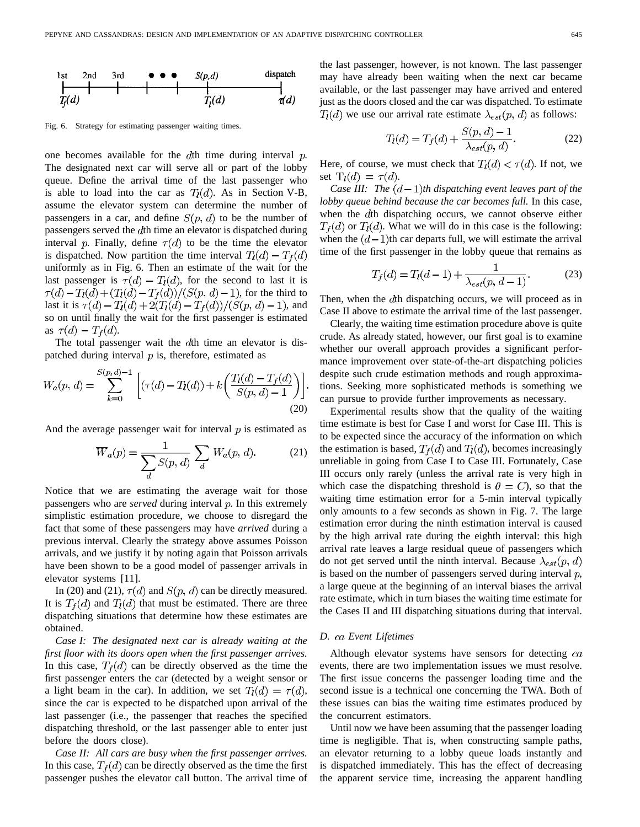

Fig. 6. Strategy for estimating passenger waiting times.

one becomes available for the  $d$ th time during interval  $p$ . The designated next car will serve all or part of the lobby queue. Define the arrival time of the last passenger who is able to load into the car as  $T_l(d)$ . As in Section V-B, assume the elevator system can determine the number of passengers in a car, and define  $S(p, d)$  to be the number of passengers served the dth time an elevator is dispatched during interval p. Finally, define  $\tau(d)$  to be the time the elevator is dispatched. Now partition the time interval  $T_l(d) - T_r(d)$ uniformly as in Fig. 6. Then an estimate of the wait for the last passenger is  $\tau(d) - T_l(d)$ , for the second to last it is  $\tau(d) - T_l(d) + (T_l(d) - T_f(d))/(S(p, d) - 1)$ , for the third to last it is  $\tau(d) - T_l(d) + 2(T_l(d) - T_f(d))/(S(p, d) - 1)$ , and so on until finally the wait for the first passenger is estimated as  $\tau(d) - T_f(d)$ .

The total passenger wait the  $d$ th time an elevator is dispatched during interval  $p$  is, therefore, estimated as

$$
W_a(p, d) = \sum_{k=0}^{S(p, d)-1} \left[ (\tau(d) - T_l(d)) + k \left( \frac{T_l(d) - T_f(d)}{S(p, d) - 1} \right) \right]
$$
\n(20)

And the average passenger wait for interval  $p$  is estimated as

$$
\overline{W}_a(p) = \frac{1}{\sum_d S(p, d)} \sum_d W_a(p, d). \tag{21}
$$

Notice that we are estimating the average wait for those passengers who are *served* during interval p. In this extremely simplistic estimation procedure, we choose to disregard the fact that some of these passengers may have *arrived* during a previous interval. Clearly the strategy above assumes Poisson arrivals, and we justify it by noting again that Poisson arrivals have been shown to be a good model of passenger arrivals in elevator systems [11].

In (20) and (21),  $\tau(d)$  and  $S(p, d)$  can be directly measured. It is  $T_f(d)$  and  $T_i(d)$  that must be estimated. There are three dispatching situations that determine how these estimates are obtained.

*Case I: The designated next car is already waiting at the first floor with its doors open when the first passenger arrives.* In this case,  $T_f(d)$  can be directly observed as the time the first passenger enters the car (detected by a weight sensor or a light beam in the car). In addition, we set  $T_l(d) = \tau(d)$ , since the car is expected to be dispatched upon arrival of the last passenger (i.e., the passenger that reaches the specified dispatching threshold, or the last passenger able to enter just before the doors close).

*Case II: All cars are busy when the first passenger arrives.* In this case,  $T_f(d)$  can be directly observed as the time the first passenger pushes the elevator call button. The arrival time of the last passenger, however, is not known. The last passenger may have already been waiting when the next car became available, or the last passenger may have arrived and entered just as the doors closed and the car was dispatched. To estimate  $T_l(d)$  we use our arrival rate estimate  $\lambda_{est}(p, d)$  as follows:

$$
T_l(d) = T_f(d) + \frac{S(p, d) - 1}{\lambda_{est}(p, d)}.
$$
 (22)

Here, of course, we must check that  $T_l(d) < \tau(d)$ . If not, we set  $T_l(d) = \tau(d)$ .

*Case III:* The  $(d-1)$ th dispatching event leaves part of the *lobby queue behind because the car becomes full.* In this case, when the  $d$ th dispatching occurs, we cannot observe either  $T_f(d)$  or  $T_i(d)$ . What we will do in this case is the following: when the  $(d-1)$ th car departs full, we will estimate the arrival time of the first passenger in the lobby queue that remains as

$$
T_f(d) = T_l(d-1) + \frac{1}{\lambda_{est}(p, d-1)}.
$$
 (23)

Then, when the dth dispatching occurs, we will proceed as in Case II above to estimate the arrival time of the last passenger.

Clearly, the waiting time estimation procedure above is quite crude. As already stated, however, our first goal is to examine whether our overall approach provides a significant performance improvement over state-of-the-art dispatching policies despite such crude estimation methods and rough approximations. Seeking more sophisticated methods is something we can pursue to provide further improvements as necessary.

Experimental results show that the quality of the waiting time estimate is best for Case I and worst for Case III. This is to be expected since the accuracy of the information on which the estimation is based,  $T_f(d)$  and  $T_i(d)$ , becomes increasingly unreliable in going from Case I to Case III. Fortunately, Case III occurs only rarely (unless the arrival rate is very high in which case the dispatching threshold is  $\theta = C$ ), so that the waiting time estimation error for a 5-min interval typically only amounts to a few seconds as shown in Fig. 7. The large estimation error during the ninth estimation interval is caused by the high arrival rate during the eighth interval: this high arrival rate leaves a large residual queue of passengers which do not get served until the ninth interval. Because  $\lambda_{est}(p, d)$ is based on the number of passengers served during interval  $p$ , a large queue at the beginning of an interval biases the arrival rate estimate, which in turn biases the waiting time estimate for the Cases II and III dispatching situations during that interval.

# *D. Event Lifetimes*

Although elevator systems have sensors for detecting  $ca$ events, there are two implementation issues we must resolve. The first issue concerns the passenger loading time and the second issue is a technical one concerning the TWA. Both of these issues can bias the waiting time estimates produced by the concurrent estimators.

Until now we have been assuming that the passenger loading time is negligible. That is, when constructing sample paths, an elevator returning to a lobby queue loads instantly and is dispatched immediately. This has the effect of decreasing the apparent service time, increasing the apparent handling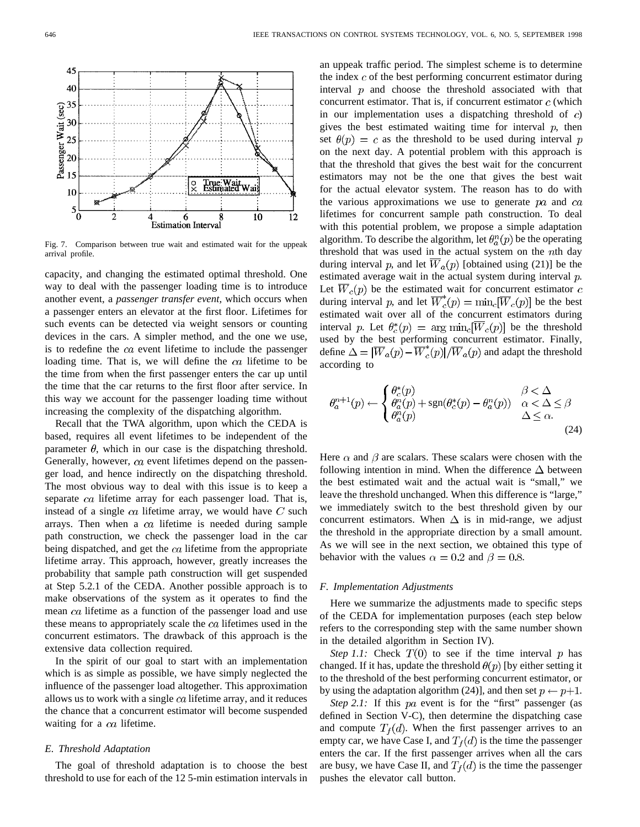

Fig. 7. Comparison between true wait and estimated wait for the uppeak arrival profile.

capacity, and changing the estimated optimal threshold. One way to deal with the passenger loading time is to introduce another event, a *passenger transfer event,* which occurs when a passenger enters an elevator at the first floor. Lifetimes for such events can be detected via weight sensors or counting devices in the cars. A simpler method, and the one we use, is to redefine the  $ca$  event lifetime to include the passenger loading time. That is, we will define the  $ca$  lifetime to be the time from when the first passenger enters the car up until the time that the car returns to the first floor after service. In this way we account for the passenger loading time without increasing the complexity of the dispatching algorithm.

Recall that the TWA algorithm, upon which the CEDA is based, requires all event lifetimes to be independent of the parameter  $\theta$ , which in our case is the dispatching threshold. Generally, however, ca event lifetimes depend on the passenger load, and hence indirectly on the dispatching threshold. The most obvious way to deal with this issue is to keep a separate  $ca$  lifetime array for each passenger load. That is, instead of a single  $ca$  lifetime array, we would have  $C$  such arrays. Then when a  $ca$  lifetime is needed during sample path construction, we check the passenger load in the car being dispatched, and get the  $ca$  lifetime from the appropriate lifetime array. This approach, however, greatly increases the probability that sample path construction will get suspended at Step 5.2.1 of the CEDA. Another possible approach is to make observations of the system as it operates to find the mean  $ca$  lifetime as a function of the passenger load and use these means to appropriately scale the  $ca$  lifetimes used in the concurrent estimators. The drawback of this approach is the extensive data collection required.

In the spirit of our goal to start with an implementation which is as simple as possible, we have simply neglected the influence of the passenger load altogether. This approximation allows us to work with a single  $ca$  lifetime array, and it reduces the chance that a concurrent estimator will become suspended waiting for a  $ca$  lifetime.

## *E. Threshold Adaptation*

The goal of threshold adaptation is to choose the best threshold to use for each of the 12 5-min estimation intervals in

an uppeak traffic period. The simplest scheme is to determine the index  $c$  of the best performing concurrent estimator during interval  $p$  and choose the threshold associated with that concurrent estimator. That is, if concurrent estimator  $c$  (which in our implementation uses a dispatching threshold of  $c$ ) gives the best estimated waiting time for interval  $p$ , then set  $\theta(p) = c$  as the threshold to be used during interval p on the next day. A potential problem with this approach is that the threshold that gives the best wait for the concurrent estimators may not be the one that gives the best wait for the actual elevator system. The reason has to do with the various approximations we use to generate  $pa$  and  $ca$ lifetimes for concurrent sample path construction. To deal with this potential problem, we propose a simple adaptation algorithm. To describe the algorithm, let  $\theta_a^n(p)$  be the operating threshold that was used in the actual system on the  $n$ th day during interval p, and let  $\overline{W}_a(p)$  [obtained using (21)] be the estimated average wait in the actual system during interval  $p$ . Let  $W_c(p)$  be the estimated wait for concurrent estimator c during interval p, and let  $\overline{W}_c^*(p) = \min_c[\overline{W}_c(p)]$  be the best estimated wait over all of the concurrent estimators during interval p. Let  $\theta_c^*(p) = \arg \min_c [\overline{W}_c(p)]$  be the threshold used by the best performing concurrent estimator. Finally, define  $\Delta = |\overline{W}_a(p) - \overline{W}_c^*(p)| / \overline{W}_a(p)$  and adapt the threshold according to

$$
\theta_a^{n+1}(p) \leftarrow \begin{cases} \theta_c^*(p) & \beta < \Delta \\ \theta_a^n(p) + \text{sgn}(\theta_c^*(p) - \theta_a^n(p)) & \alpha < \Delta \le \beta \\ \theta_a^n(p) & \Delta \le \alpha. \end{cases} \tag{24}
$$

Here  $\alpha$  and  $\beta$  are scalars. These scalars were chosen with the following intention in mind. When the difference  $\Delta$  between the best estimated wait and the actual wait is "small," we leave the threshold unchanged. When this difference is "large," we immediately switch to the best threshold given by our concurrent estimators. When  $\Delta$  is in mid-range, we adjust the threshold in the appropriate direction by a small amount. As we will see in the next section, we obtained this type of behavior with the values  $\alpha = 0.2$  and  $\beta = 0.8$ .

## *F. Implementation Adjustments*

Here we summarize the adjustments made to specific steps of the CEDA for implementation purposes (each step below refers to the corresponding step with the same number shown in the detailed algorithm in Section IV).

*Step 1.1:* Check  $T(0)$  to see if the time interval p has changed. If it has, update the threshold  $\theta(p)$  [by either setting it to the threshold of the best performing concurrent estimator, or by using the adaptation algorithm (24)], and then set  $p \leftarrow p+1$ .

*Step 2.1:* If this pa event is for the "first" passenger (as defined in Section V-C), then determine the dispatching case and compute  $T_f(d)$ . When the first passenger arrives to an empty car, we have Case I, and  $T_f(d)$  is the time the passenger enters the car. If the first passenger arrives when all the cars are busy, we have Case II, and  $T_f(d)$  is the time the passenger pushes the elevator call button.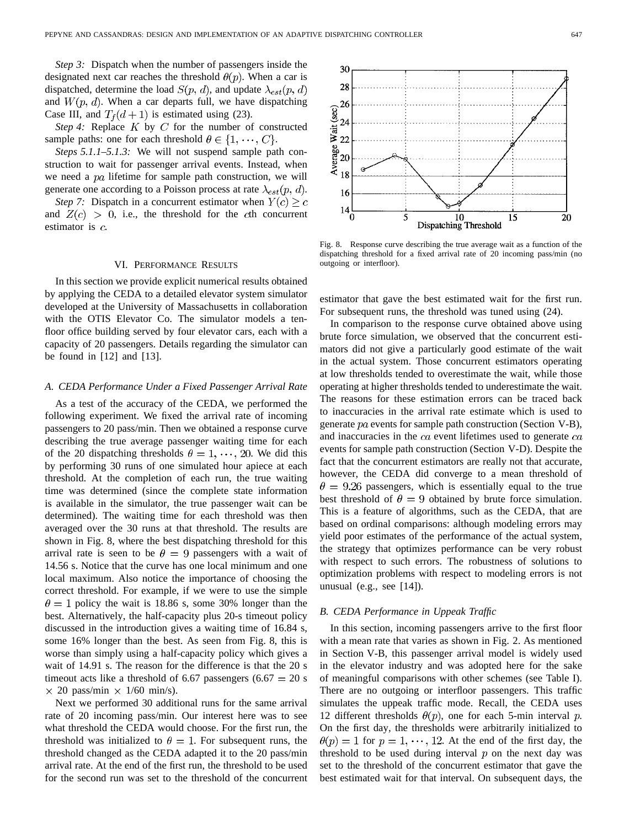*Step 3:* Dispatch when the number of passengers inside the designated next car reaches the threshold  $\theta(p)$ . When a car is dispatched, determine the load  $S(p, d)$ , and update  $\lambda_{est}(p, d)$ and  $W(p, d)$ . When a car departs full, we have dispatching Case III, and  $T_f(d+1)$  is estimated using (23).

*Step 4:* Replace  $K$  by  $C$  for the number of constructed sample paths: one for each threshold  $\theta \in \{1, \dots, C\}$ .

*Steps 5.1.1–5.1.3:* We will not suspend sample path construction to wait for passenger arrival events. Instead, when we need a  $pa$  lifetime for sample path construction, we will generate one according to a Poisson process at rate  $\lambda_{est}(p, d)$ .

*Step 7:* Dispatch in a concurrent estimator when  $Y(c) \geq c$ and  $Z(c) > 0$ , i.e., the threshold for the cth concurrent estimator is  $c$ .

# VI. PERFORMANCE RESULTS

In this section we provide explicit numerical results obtained by applying the CEDA to a detailed elevator system simulator developed at the University of Massachusetts in collaboration with the OTIS Elevator Co. The simulator models a tenfloor office building served by four elevator cars, each with a capacity of 20 passengers. Details regarding the simulator can be found in [12] and [13].

## *A. CEDA Performance Under a Fixed Passenger Arrival Rate*

As a test of the accuracy of the CEDA, we performed the following experiment. We fixed the arrival rate of incoming passengers to 20 pass/min. Then we obtained a response curve describing the true average passenger waiting time for each of the 20 dispatching thresholds  $\theta = 1, \dots, 20$ . We did this by performing 30 runs of one simulated hour apiece at each threshold. At the completion of each run, the true waiting time was determined (since the complete state information is available in the simulator, the true passenger wait can be determined). The waiting time for each threshold was then averaged over the 30 runs at that threshold. The results are shown in Fig. 8, where the best dispatching threshold for this arrival rate is seen to be  $\theta = 9$  passengers with a wait of 14.56 s. Notice that the curve has one local minimum and one local maximum. Also notice the importance of choosing the correct threshold. For example, if we were to use the simple  $\theta = 1$  policy the wait is 18.86 s, some 30% longer than the best. Alternatively, the half-capacity plus 20-s timeout policy discussed in the introduction gives a waiting time of 16.84 s, some 16% longer than the best. As seen from Fig. 8, this is worse than simply using a half-capacity policy which gives a wait of 14.91 s. The reason for the difference is that the 20 s timeout acts like a threshold of 6.67 passengers (6.67  $= 20$  s  $\times$  20 pass/min  $\times$  1/60 min/s).

Next we performed 30 additional runs for the same arrival rate of 20 incoming pass/min. Our interest here was to see what threshold the CEDA would choose. For the first run, the threshold was initialized to  $\theta = 1$ . For subsequent runs, the threshold changed as the CEDA adapted it to the 20 pass/min arrival rate. At the end of the first run, the threshold to be used for the second run was set to the threshold of the concurrent



estimator that gave the best estimated wait for the first run. For subsequent runs, the threshold was tuned using (24).

In comparison to the response curve obtained above using brute force simulation, we observed that the concurrent estimators did not give a particularly good estimate of the wait in the actual system. Those concurrent estimators operating at low thresholds tended to overestimate the wait, while those operating at higher thresholds tended to underestimate the wait. The reasons for these estimation errors can be traced back to inaccuracies in the arrival rate estimate which is used to generate  $pa$  events for sample path construction (Section V-B), and inaccuracies in the  $ca$  event lifetimes used to generate  $ca$ events for sample path construction (Section V-D). Despite the fact that the concurrent estimators are really not that accurate, however, the CEDA did converge to a mean threshold of  $\theta = 9.26$  passengers, which is essentially equal to the true best threshold of  $\theta = 9$  obtained by brute force simulation. This is a feature of algorithms, such as the CEDA, that are based on ordinal comparisons: although modeling errors may yield poor estimates of the performance of the actual system, the strategy that optimizes performance can be very robust with respect to such errors. The robustness of solutions to optimization problems with respect to modeling errors is not unusual (e.g., see [14]).

## *B. CEDA Performance in Uppeak Traffic*

In this section, incoming passengers arrive to the first floor with a mean rate that varies as shown in Fig. 2. As mentioned in Section V-B, this passenger arrival model is widely used in the elevator industry and was adopted here for the sake of meaningful comparisons with other schemes (see Table I). There are no outgoing or interfloor passengers. This traffic simulates the uppeak traffic mode. Recall, the CEDA uses 12 different thresholds  $\theta(p)$ , one for each 5-min interval p. On the first day, the thresholds were arbitrarily initialized to  $\theta(p) = 1$  for  $p = 1, \dots, 12$ . At the end of the first day, the threshold to be used during interval  $p$  on the next day was set to the threshold of the concurrent estimator that gave the best estimated wait for that interval. On subsequent days, the

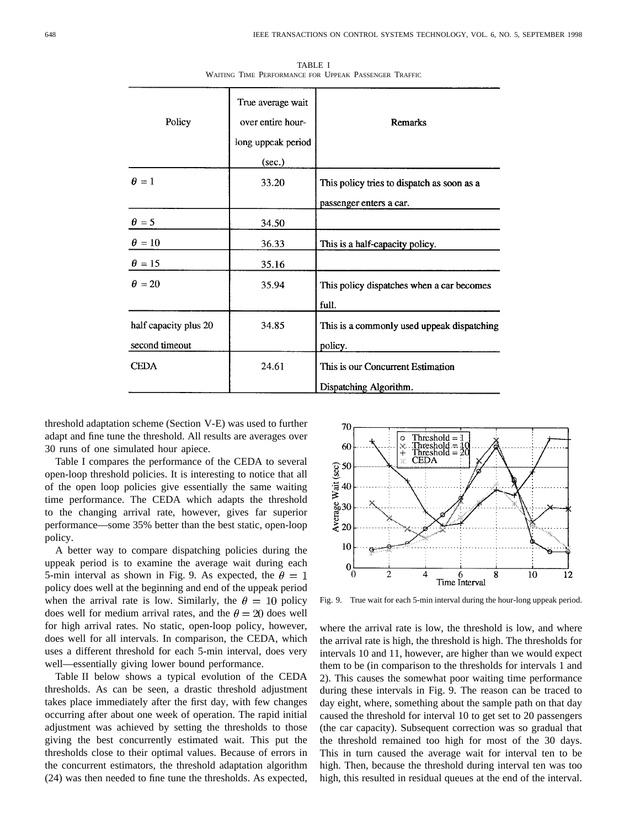|                       | True average wait  |                                            |  |  |  |  |
|-----------------------|--------------------|--------------------------------------------|--|--|--|--|
| Policy                | over entire hour-  | <b>Remarks</b>                             |  |  |  |  |
|                       | long uppeak period |                                            |  |  |  |  |
|                       | (sec.)             |                                            |  |  |  |  |
| $\theta = 1$          | 33.20              | This policy tries to dispatch as soon as a |  |  |  |  |
|                       |                    | passenger enters a car.                    |  |  |  |  |
| $\theta = 5$          | 34.50              |                                            |  |  |  |  |
| $\theta = 10$         | 36.33              | This is a half-capacity policy.            |  |  |  |  |
| $\theta = 15$         | 35.16              |                                            |  |  |  |  |
| $\theta = 20$         | 35.94              | This policy dispatches when a car becomes  |  |  |  |  |
|                       |                    | full.                                      |  |  |  |  |
| half capacity plus 20 | 34.85              | This is a commonly used uppeak dispatching |  |  |  |  |
| second timeout        |                    | policy.                                    |  |  |  |  |
| CEDA                  | 24.61              | This is our Concurrent Estimation          |  |  |  |  |
|                       |                    | Dispatching Algorithm.                     |  |  |  |  |

TABLE I WAITING TIME PERFORMANCE FOR UPPEAK PASSENGER TRAFFIC

threshold adaptation scheme (Section V-E) was used to further adapt and fine tune the threshold. All results are averages over 30 runs of one simulated hour apiece.

Table I compares the performance of the CEDA to several open-loop threshold policies. It is interesting to notice that all of the open loop policies give essentially the same waiting time performance. The CEDA which adapts the threshold to the changing arrival rate, however, gives far superior performance—some 35% better than the best static, open-loop policy.

A better way to compare dispatching policies during the uppeak period is to examine the average wait during each 5-min interval as shown in Fig. 9. As expected, the  $\theta = 1$ policy does well at the beginning and end of the uppeak period when the arrival rate is low. Similarly, the  $\theta = 10$  policy does well for medium arrival rates, and the  $\theta = 20$  does well for high arrival rates. No static, open-loop policy, however, does well for all intervals. In comparison, the CEDA, which uses a different threshold for each 5-min interval, does very well—essentially giving lower bound performance.

Table II below shows a typical evolution of the CEDA thresholds. As can be seen, a drastic threshold adjustment takes place immediately after the first day, with few changes occurring after about one week of operation. The rapid initial adjustment was achieved by setting the thresholds to those giving the best concurrently estimated wait. This put the thresholds close to their optimal values. Because of errors in the concurrent estimators, the threshold adaptation algorithm (24) was then needed to fine tune the thresholds. As expected,



Fig. 9. True wait for each 5-min interval during the hour-long uppeak period.

where the arrival rate is low, the threshold is low, and where the arrival rate is high, the threshold is high. The thresholds for intervals 10 and 11, however, are higher than we would expect them to be (in comparison to the thresholds for intervals 1 and 2). This causes the somewhat poor waiting time performance during these intervals in Fig. 9. The reason can be traced to day eight, where, something about the sample path on that day caused the threshold for interval 10 to get set to 20 passengers (the car capacity). Subsequent correction was so gradual that the threshold remained too high for most of the 30 days. This in turn caused the average wait for interval ten to be high. Then, because the threshold during interval ten was too high, this resulted in residual queues at the end of the interval.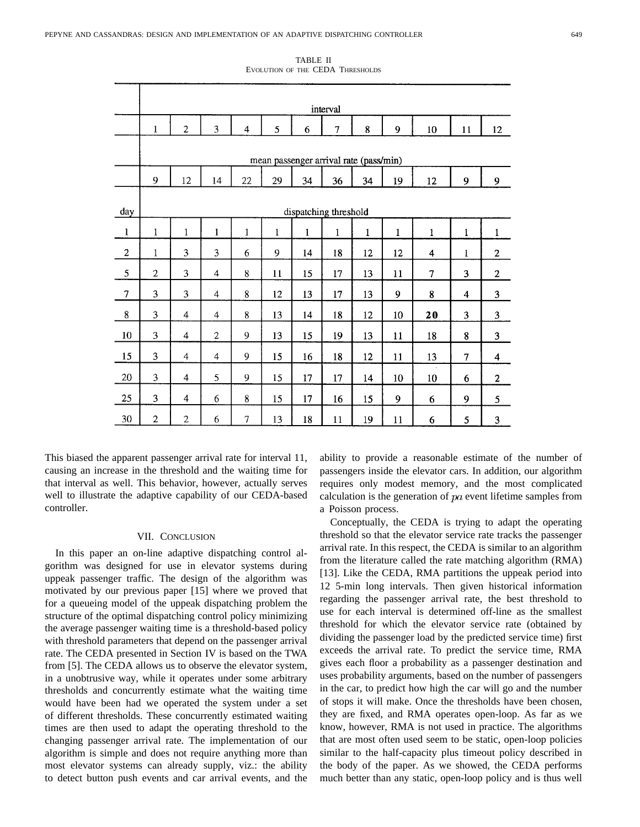|                | interval                               |                |                |                |    |    |    |              |              |    |                         |                  |  |
|----------------|----------------------------------------|----------------|----------------|----------------|----|----|----|--------------|--------------|----|-------------------------|------------------|--|
|                | 1                                      | $\overline{2}$ | 3              | $\overline{4}$ | 5  | 6  | 7  | 8            | 9            | 10 | 11                      | 12               |  |
|                | mean passenger arrival rate (pass/min) |                |                |                |    |    |    |              |              |    |                         |                  |  |
|                | 9                                      | 12             | 14             | 22             | 29 | 34 | 36 | 34           | 19           | 12 | 9                       | 9                |  |
| day            | dispatching threshold                  |                |                |                |    |    |    |              |              |    |                         |                  |  |
| $\mathbf{1}$   | 1                                      | $\mathbf{1}$   | 1              | 1              | 1  | 1  | 1  | $\mathbf{1}$ | $\mathbf{1}$ | 1  | $\mathbf{1}$            | $\mathbf{1}$     |  |
| $\overline{c}$ | 1                                      | 3              | 3              | 6              | 9  | 14 | 18 | 12           | 12           | 4  | 1                       | $\boldsymbol{2}$ |  |
| 5              | $\mathbf{2}$                           | 3              | 4              | 8              | 11 | 15 | 17 | 13           | 11           | 7  | 3                       | $\overline{2}$   |  |
| $\overline{7}$ | 3                                      | 3              | 4              | 8              | 12 | 13 | 17 | 13           | 9            | 8  | $\overline{\mathbf{4}}$ | 3                |  |
| 8              | 3                                      | 4              | $\overline{4}$ | 8              | 13 | 14 | 18 | 12           | 10           | 20 | 3                       | 3                |  |
| 10             | 3                                      | $\overline{4}$ | $\overline{c}$ | 9              | 13 | 15 | 19 | 13           | 11           | 18 | 8                       | 3                |  |
| 15             | 3                                      | $\overline{4}$ | $\overline{4}$ | 9              | 15 | 16 | 18 | 12           | 11           | 13 | $\overline{7}$          | 4                |  |
| 20             | 3                                      | 4              | 5              | 9              | 15 | 17 | 17 | 14           | 10           | 10 | 6                       | $\mathbf{2}$     |  |
| 25             | 3                                      | 4              | 6              | 8              | 15 | 17 | 16 | 15           | 9            | 6  | 9                       | 5                |  |
| 30             | $\overline{c}$                         | $\overline{c}$ | 6              | 7              | 13 | 18 | 11 | 19           | 11           | 6  | 5                       | 3                |  |

TABLE II EVOLUTION OF THE CEDA THRESHOLDS

This biased the apparent passenger arrival rate for interval 11, causing an increase in the threshold and the waiting time for that interval as well. This behavior, however, actually serves well to illustrate the adaptive capability of our CEDA-based controller.

#### VII. CONCLUSION

In this paper an on-line adaptive dispatching control algorithm was designed for use in elevator systems during uppeak passenger traffic. The design of the algorithm was motivated by our previous paper [15] where we proved that for a queueing model of the uppeak dispatching problem the structure of the optimal dispatching control policy minimizing the average passenger waiting time is a threshold-based policy with threshold parameters that depend on the passenger arrival rate. The CEDA presented in Section IV is based on the TWA from [5]. The CEDA allows us to observe the elevator system, in a unobtrusive way, while it operates under some arbitrary thresholds and concurrently estimate what the waiting time would have been had we operated the system under a set of different thresholds. These concurrently estimated waiting times are then used to adapt the operating threshold to the changing passenger arrival rate. The implementation of our algorithm is simple and does not require anything more than most elevator systems can already supply, viz.: the ability to detect button push events and car arrival events, and the ability to provide a reasonable estimate of the number of passengers inside the elevator cars. In addition, our algorithm requires only modest memory, and the most complicated calculation is the generation of  $pa$  event lifetime samples from a Poisson process.

Conceptually, the CEDA is trying to adapt the operating threshold so that the elevator service rate tracks the passenger arrival rate. In this respect, the CEDA is similar to an algorithm from the literature called the rate matching algorithm (RMA) [13]. Like the CEDA, RMA partitions the uppeak period into 12 5-min long intervals. Then given historical information regarding the passenger arrival rate, the best threshold to use for each interval is determined off-line as the smallest threshold for which the elevator service rate (obtained by dividing the passenger load by the predicted service time) first exceeds the arrival rate. To predict the service time, RMA gives each floor a probability as a passenger destination and uses probability arguments, based on the number of passengers in the car, to predict how high the car will go and the number of stops it will make. Once the thresholds have been chosen, they are fixed, and RMA operates open-loop. As far as we know, however, RMA is not used in practice. The algorithms that are most often used seem to be static, open-loop policies similar to the half-capacity plus timeout policy described in the body of the paper. As we showed, the CEDA performs much better than any static, open-loop policy and is thus well